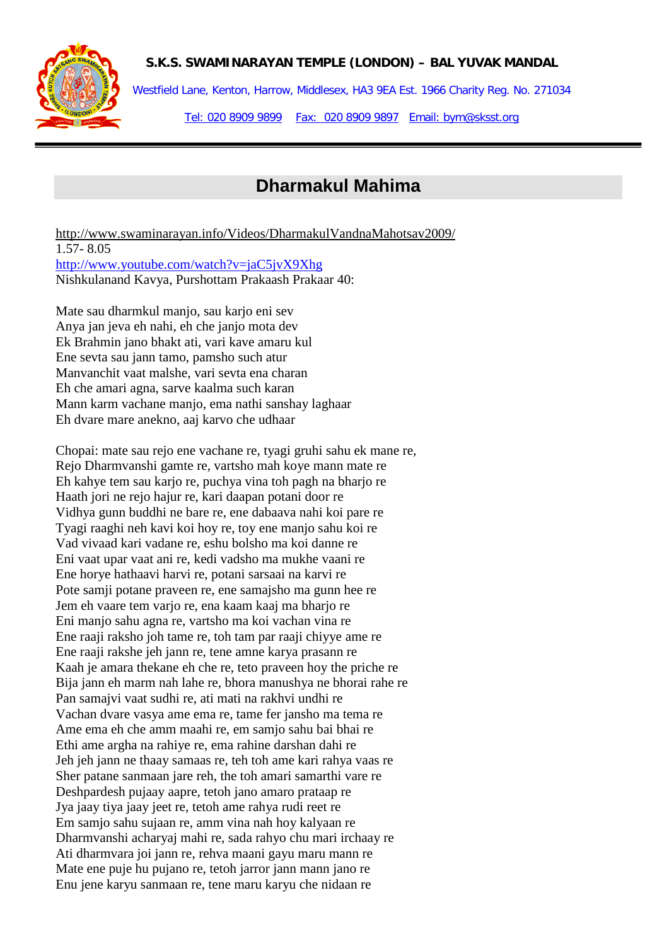

Westfield Lane, Kenton, Harrow, Middlesex, HA3 9EA Est. 1966 Charity Reg. No. 271034 Tel: 020 8909 9899 Fax: 020 8909 9897 Email: bym@sksst.org

# **Dharmakul Mahima**

<http://www.swaminarayan.info/Videos/DharmakulVandnaMahotsav2009/> 1.57- 8.05 <http://www.youtube.com/watch?v=jaC5jvX9Xhg> Nishkulanand Kavya, Purshottam Prakaash Prakaar 40:

Mate sau dharmkul manjo, sau karjo eni sev Anya jan jeva eh nahi, eh che janjo mota dev Ek Brahmin jano bhakt ati, vari kave amaru kul Ene sevta sau jann tamo, pamsho such atur Manvanchit vaat malshe, vari sevta ena charan Eh che amari agna, sarve kaalma such karan Mann karm vachane manjo, ema nathi sanshay laghaar Eh dvare mare anekno, aaj karvo che udhaar

Chopai: mate sau rejo ene vachane re, tyagi gruhi sahu ek mane re, Rejo Dharmvanshi gamte re, vartsho mah koye mann mate re Eh kahye tem sau karjo re, puchya vina toh pagh na bharjo re Haath jori ne rejo hajur re, kari daapan potani door re Vidhya gunn buddhi ne bare re, ene dabaava nahi koi pare re Tyagi raaghi neh kavi koi hoy re, toy ene manjo sahu koi re Vad vivaad kari vadane re, eshu bolsho ma koi danne re Eni vaat upar vaat ani re, kedi vadsho ma mukhe vaani re Ene horye hathaavi harvi re, potani sarsaai na karvi re Pote samji potane praveen re, ene samajsho ma gunn hee re Jem eh vaare tem varjo re, ena kaam kaaj ma bharjo re Eni manjo sahu agna re, vartsho ma koi vachan vina re Ene raaji raksho joh tame re, toh tam par raaji chiyye ame re Ene raaji rakshe jeh jann re, tene amne karya prasann re Kaah je amara thekane eh che re, teto praveen hoy the priche re Bija jann eh marm nah lahe re, bhora manushya ne bhorai rahe re Pan samajvi vaat sudhi re, ati mati na rakhvi undhi re Vachan dvare vasya ame ema re, tame fer jansho ma tema re Ame ema eh che amm maahi re, em samjo sahu bai bhai re Ethi ame argha na rahiye re, ema rahine darshan dahi re Jeh jeh jann ne thaay samaas re, teh toh ame kari rahya vaas re Sher patane sanmaan jare reh, the toh amari samarthi vare re Deshpardesh pujaay aapre, tetoh jano amaro prataap re Jya jaay tiya jaay jeet re, tetoh ame rahya rudi reet re Em samjo sahu sujaan re, amm vina nah hoy kalyaan re Dharmvanshi acharyaj mahi re, sada rahyo chu mari irchaay re Ati dharmvara joi jann re, rehva maani gayu maru mann re Mate ene puje hu pujano re, tetoh jarror jann mann jano re Enu jene karyu sanmaan re, tene maru karyu che nidaan re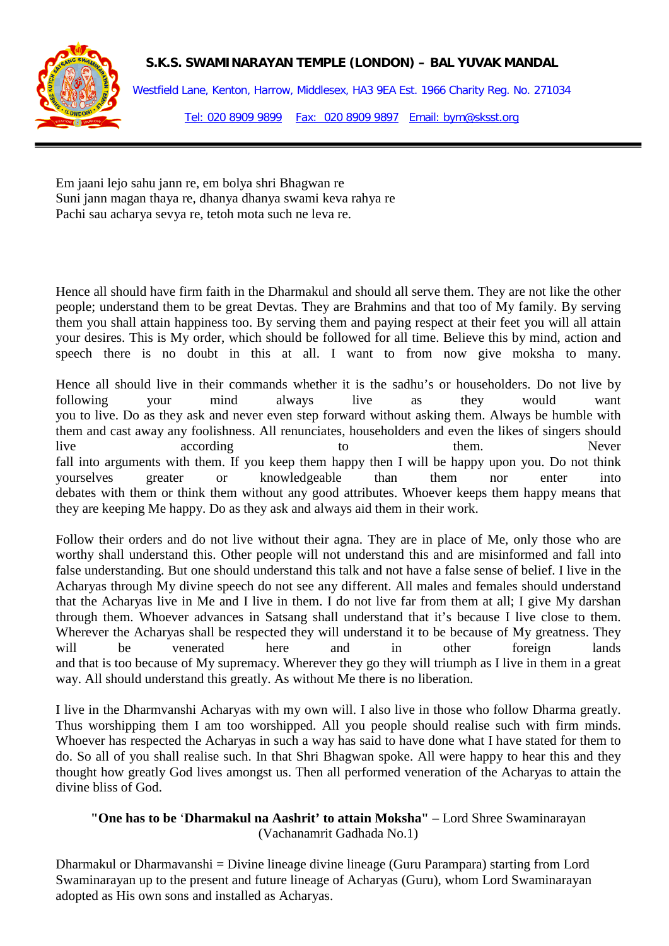

Westfield Lane, Kenton, Harrow, Middlesex, HA3 9EA Est. 1966 Charity Reg. No. 271034 Tel: 020 8909 9899 Fax: 020 8909 9897 Email: bym@sksst.org

Em jaani lejo sahu jann re, em bolya shri Bhagwan re Suni jann magan thaya re, dhanya dhanya swami keva rahya re Pachi sau acharya sevya re, tetoh mota such ne leva re.

Hence all should have firm faith in the Dharmakul and should all serve them. They are not like the other people; understand them to be great Devtas. They are Brahmins and that too of My family. By serving them you shall attain happiness too. By serving them and paying respect at their feet you will all attain your desires. This is My order, which should be followed for all time. Believe this by mind, action and speech there is no doubt in this at all. I want to from now give moksha to many.

Hence all should live in their commands whether it is the sadhu's or householders. Do not live by following your mind always live as they would want you to live. Do as they ask and never even step forward without asking them. Always be humble with them and cast away any foolishness. All renunciates, householders and even the likes of singers should live according to them. Never fall into arguments with them. If you keep them happy then I will be happy upon you. Do not think yourselves greater or knowledgeable than them nor enter into debates with them or think them without any good attributes. Whoever keeps them happy means that they are keeping Me happy. Do as they ask and always aid them in their work.

Follow their orders and do not live without their agna. They are in place of Me, only those who are worthy shall understand this. Other people will not understand this and are misinformed and fall into false understanding. But one should understand this talk and not have a false sense of belief. I live in the Acharyas through My divine speech do not see any different. All males and females should understand that the Acharyas live in Me and I live in them. I do not live far from them at all; I give My darshan through them. Whoever advances in Satsang shall understand that it's because I live close to them. Wherever the Acharyas shall be respected they will understand it to be because of My greatness. They will be venerated here and in other foreign lands and that is too because of My supremacy. Wherever they go they will triumph as I live in them in a great way. All should understand this greatly. As without Me there is no liberation.

I live in the Dharmvanshi Acharyas with my own will. I also live in those who follow Dharma greatly. Thus worshipping them I am too worshipped. All you people should realise such with firm minds. Whoever has respected the Acharyas in such a way has said to have done what I have stated for them to do. So all of you shall realise such. In that Shri Bhagwan spoke. All were happy to hear this and they thought how greatly God lives amongst us. Then all performed veneration of the Acharyas to attain the divine bliss of God.

#### **"One has to be** '**Dharmakul na Aashrit' to attain Moksha"** – Lord Shree Swaminarayan (Vachanamrit Gadhada No.1)

Dharmakul or Dharmavanshi = Divine lineage divine lineage (Guru Parampara) starting from Lord Swaminarayan up to the present and future lineage of Acharyas (Guru), whom Lord Swaminarayan adopted as His own sons and installed as Acharyas.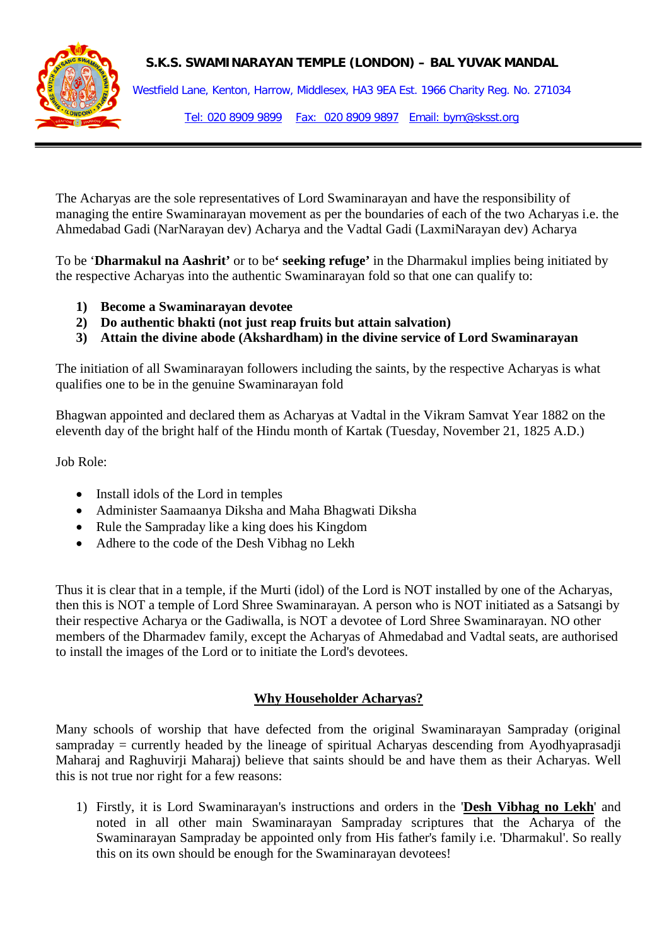

Westfield Lane, Kenton, Harrow, Middlesex, HA3 9EA Est. 1966 Charity Reg. No. 271034 Tel: 020 8909 9899 Fax: 020 8909 9897 Email: bym@sksst.org

The Acharyas are the sole representatives of Lord Swaminarayan and have the responsibility of managing the entire Swaminarayan movement as per the boundaries of each of the two Acharyas i.e. the Ahmedabad Gadi (NarNarayan dev) Acharya and the Vadtal Gadi (LaxmiNarayan dev) Acharya

To be '**Dharmakul na Aashrit'** or to be**' seeking refuge'** in the Dharmakul implies being initiated by the respective Acharyas into the authentic Swaminarayan fold so that one can qualify to:

- **1) Become a Swaminarayan devotee**
- **2) Do authentic bhakti (not just reap fruits but attain salvation)**
- **3) Attain the divine abode (Akshardham) in the divine service of Lord Swaminarayan**

The initiation of all Swaminarayan followers including the saints, by the respective Acharyas is what qualifies one to be in the genuine Swaminarayan fold

Bhagwan appointed and declared them as Acharyas at Vadtal in the Vikram Samvat Year 1882 on the eleventh day of the bright half of the Hindu month of Kartak (Tuesday, November 21, 1825 A.D.)

Job Role:

- Install idols of the Lord in temples
- Administer Saamaanya Diksha and Maha Bhagwati Diksha
- Rule the Sampraday like a king does his Kingdom
- Adhere to the code of the Desh Vibhag no Lekh

Thus it is clear that in a temple, if the Murti (idol) of the Lord is NOT installed by one of the Acharyas, then this is NOT a temple of Lord Shree Swaminarayan. A person who is NOT initiated as a Satsangi by their respective Acharya or the Gadiwalla, is NOT a devotee of Lord Shree Swaminarayan. NO other members of the Dharmadev family, except the Acharyas of Ahmedabad and Vadtal seats, are authorised to install the images of the Lord or to initiate the Lord's devotees.

## **Why Householder Acharyas?**

Many schools of worship that have defected from the original Swaminarayan Sampraday (original sampraday = currently headed by the lineage of spiritual Acharyas descending from Ayodhyaprasadji Maharaj and Raghuvirji Maharaj) believe that saints should be and have them as their Acharyas. Well this is not true nor right for a few reasons:

1) Firstly, it is Lord Swaminarayan's instructions and orders in the '**[Desh Vibhag no Lekh](http://www.swaminarayan.ws/lekh.htm)**' and noted in all other main Swaminarayan Sampraday scriptures that the Acharya of the Swaminarayan Sampraday be appointed only from His father's family i.e. 'Dharmakul'. So really this on its own should be enough for the Swaminarayan devotees!